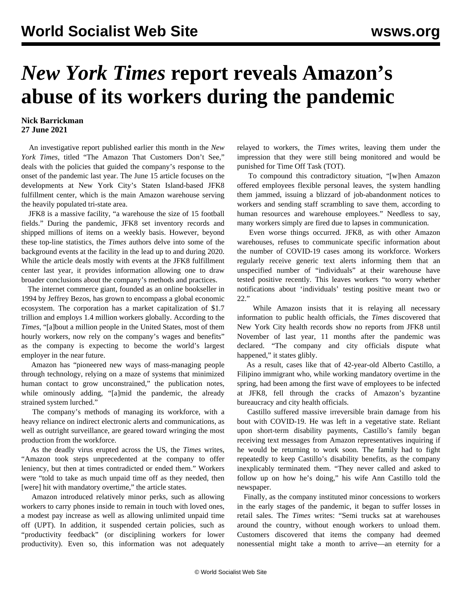## *New York Times* **report reveals Amazon's abuse of its workers during the pandemic**

## **Nick Barrickman 27 June 2021**

 An investigative report published earlier this month in the *New York Times*, titled "The Amazon That Customers Don't See," deals with the policies that guided the company's response to the onset of the pandemic last year. The June 15 article focuses on the developments at New York City's Staten Island-based JFK8 fulfillment center, which is the main Amazon warehouse serving the heavily populated tri-state area.

 JFK8 is a massive facility, "a warehouse the size of 15 football fields." During the pandemic, JFK8 set inventory records and shipped millions of items on a weekly basis. However, beyond these top-line statistics, the *Times* authors delve into some of the background events at the facility in the lead up to and during 2020. While the article deals mostly with events at the JFK8 fulfillment center last year, it provides information allowing one to draw broader conclusions about the company's methods and practices.

 The internet commerce giant, founded as an online bookseller in 1994 by Jeffrey Bezos, has grown to encompass a global economic ecosystem. The corporation has a market capitalization of \$1.7 trillion and employs 1.4 million workers globally. According to the *Times*, "[a]bout a million people in the United States, most of them hourly workers, now rely on the company's wages and benefits" as the company is expecting to become the world's largest employer in the near future.

 Amazon has "pioneered new ways of mass-managing people through technology, relying on a maze of systems that minimized human contact to grow unconstrained," the publication notes, while ominously adding, "[a]mid the pandemic, the already strained system lurched."

 The company's methods of managing its workforce, with a heavy reliance on indirect electronic alerts and communications, as well as outright surveillance, are geared toward wringing the most production from the workforce.

 As the deadly virus erupted across the US, the *Times* writes, "Amazon took steps unprecedented at the company to offer leniency, but then at times contradicted or ended them." Workers were "told to take as much unpaid time off as they needed, then [were] hit with mandatory overtime," the article states.

 Amazon introduced relatively minor perks, such as allowing workers to carry phones inside to remain in touch with loved ones, a modest pay increase as well as allowing unlimited unpaid time off (UPT). In addition, it suspended certain policies, such as "productivity feedback" (or disciplining workers for lower productivity). Even so, this information was not adequately relayed to workers, the *Times* writes, leaving them under the impression that they were still being monitored and would be punished for Time Off Task (TOT).

 To compound this contradictory situation, "[w]hen Amazon offered employees flexible personal leaves, the system handling them jammed, issuing a blizzard of job-abandonment notices to workers and sending staff scrambling to save them, according to human resources and warehouse employees." Needless to say, many workers simply are fired due to lapses in communication.

 Even worse things occurred. JFK8, as with other Amazon warehouses, refuses to communicate specific information about the number of COVID-19 cases among its workforce. Workers regularly receive generic text alerts informing them that an unspecified number of "individuals" at their warehouse have tested positive recently. This leaves workers "to worry whether notifications about 'individuals' testing positive meant two or 22."

 While Amazon insists that it is relaying all necessary information to public health officials, the *Times* discovered that New York City health records show no reports from JFK8 until November of last year, 11 months after the pandemic was declared. "The company and city officials dispute what happened," it states glibly.

 As a result, cases like that of 42-year-old Alberto Castillo, a Filipino immigrant who, while working mandatory overtime in the spring, had been among the first wave of employees to be infected at JFK8, fell through the cracks of Amazon's byzantine bureaucracy and city health officials.

 Castillo suffered massive irreversible brain damage from his bout with COVID-19. He was left in a vegetative state. Reliant upon short-term disability payments, Castillo's family began receiving text messages from Amazon representatives inquiring if he would be returning to work soon. The family had to fight repeatedly to keep Castillo's disability benefits, as the company inexplicably terminated them. "They never called and asked to follow up on how he's doing," his wife Ann Castillo told the newspaper.

 Finally, as the company instituted minor concessions to workers in the early stages of the pandemic, it began to suffer losses in retail sales. The *Times* writes: "Semi trucks sat at warehouses around the country, without enough workers to unload them. Customers discovered that items the company had deemed nonessential might take a month to arrive—an eternity for a